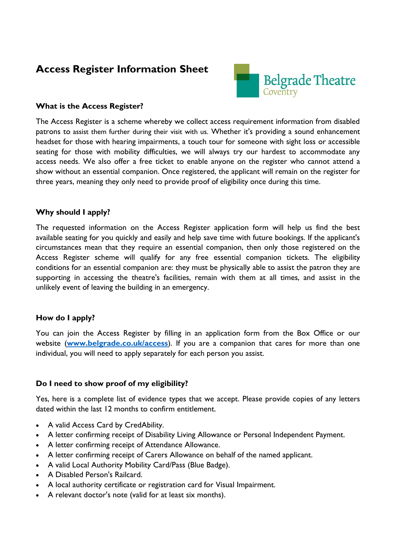# **Access Register Information Sheet**



## **What is the Access Register?**

The Access Register is a scheme whereby we collect access requirement information from disabled patrons to assist them further during their visit with us. Whether it's providing a sound enhancement headset for those with hearing impairments, a touch tour for someone with sight loss or accessible seating for those with mobility difficulties, we will always try our hardest to accommodate any access needs. We also offer a free ticket to enable anyone on the register who cannot attend a show without an essential companion. Once registered, the applicant will remain on the register for three years, meaning they only need to provide proof of eligibility once during this time.

## **Why should I apply?**

The requested information on the Access Register application form will help us find the best available seating for you quickly and easily and help save time with future bookings. If the applicant's circumstances mean that they require an essential companion, then only those registered on the Access Register scheme will qualify for any free essential companion tickets. The eligibility conditions for an essential companion are: they must be physically able to assist the patron they are supporting in accessing the theatre's facilities, remain with them at all times, and assist in the unlikely event of leaving the building in an emergency.

## **How do I apply?**

You can join the Access Register by filling in an application form from the Box Office or our website (**[www.belgrade.co.uk/access](http://www.belgrade.co.uk/access)**). If you are a companion that cares for more than one individual, you will need to apply separately for each person you assist.

## **Do I need to show proof of my eligibility?**

Yes, here is a complete list of evidence types that we accept. Please provide copies of any letters dated within the last 12 months to confirm entitlement.

- A valid Access Card by CredAbility.
- A letter confirming receipt of Disability Living Allowance or Personal Independent Payment.
- A letter confirming receipt of Attendance Allowance.
- A letter confirming receipt of Carers Allowance on behalf of the named applicant.
- A valid Local Authority Mobility Card/Pass (Blue Badge).
- A Disabled Person's Railcard.
- A local authority certificate or registration card for Visual Impairment.
- A relevant doctor's note (valid for at least six months).